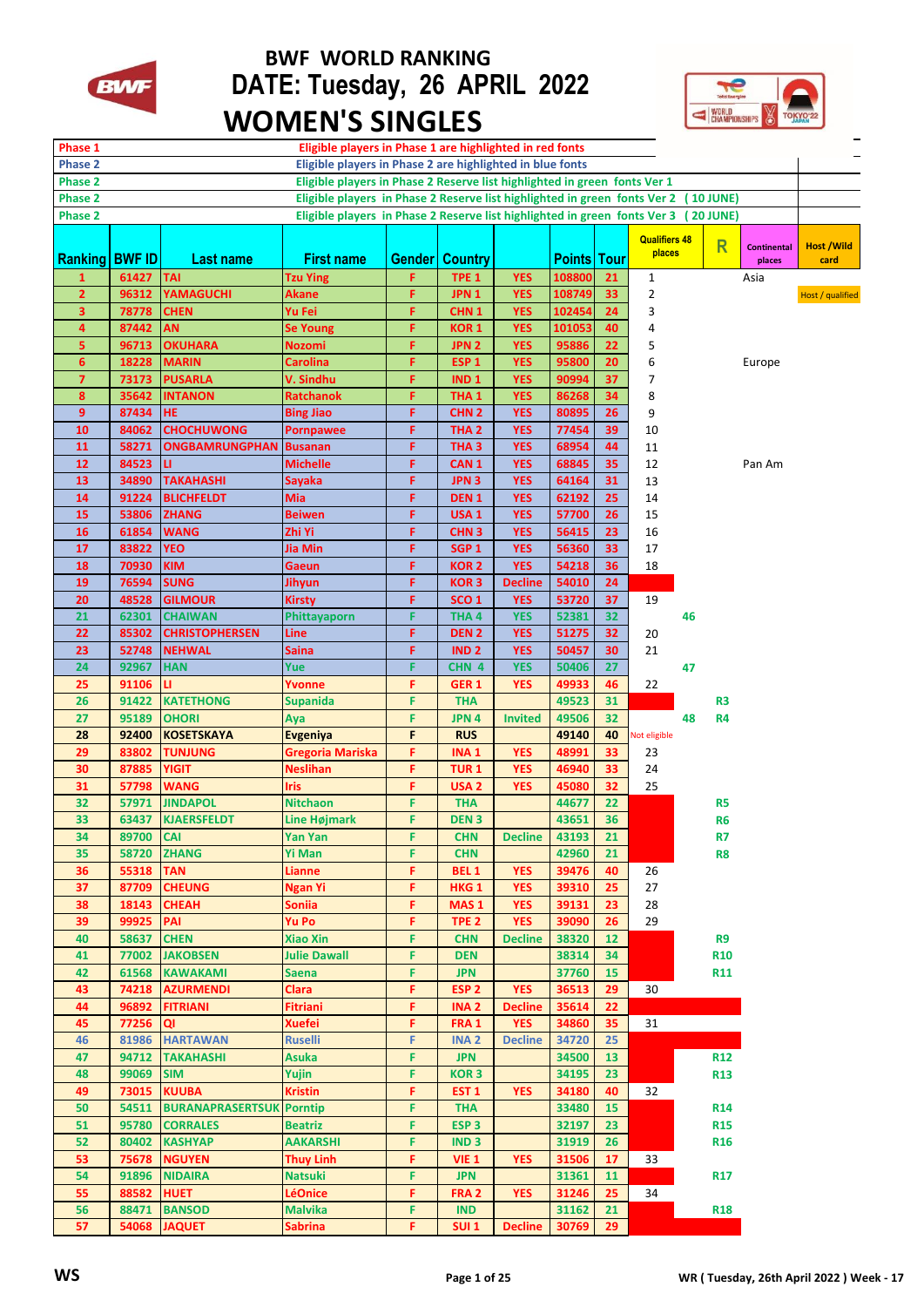

## **BWF WORLD RANKING BWF** DATE: Tuesday, 26 APRIL 2022  **WOMEN'S SINGLES**



| Phase 1                                                                                                  |           |                         | Eligible players in Phase 1 are highlighted in red fonts |               |                  |                |                    |    |                      |    |                         |                              |                           |
|----------------------------------------------------------------------------------------------------------|-----------|-------------------------|----------------------------------------------------------|---------------|------------------|----------------|--------------------|----|----------------------|----|-------------------------|------------------------------|---------------------------|
| Eligible players in Phase 2 are highlighted in blue fonts<br>Phase 2                                     |           |                         |                                                          |               |                  |                |                    |    |                      |    |                         |                              |                           |
| Eligible players in Phase 2 Reserve list highlighted in green fonts Ver 1<br><b>Phase 2</b>              |           |                         |                                                          |               |                  |                |                    |    |                      |    |                         |                              |                           |
| Phase 2<br>Eligible players in Phase 2 Reserve list highlighted in green fonts Ver 2 (10 JUNE)           |           |                         |                                                          |               |                  |                |                    |    |                      |    |                         |                              |                           |
| Eligible players in Phase 2 Reserve list highlighted in green fonts Ver 3<br><b>Phase 2</b><br>(20 JUNE) |           |                         |                                                          |               |                  |                |                    |    |                      |    |                         |                              |                           |
|                                                                                                          |           |                         |                                                          |               |                  |                |                    |    | <b>Qualifiers 48</b> |    |                         |                              |                           |
| <b>Ranking BWF ID</b>                                                                                    |           | Last name               | <b>First name</b>                                        | <b>Gender</b> | <b>Country</b>   |                | <b>Points Tour</b> |    | places               |    | $\overline{\mathsf{R}}$ | <b>Continental</b><br>places | <b>Host /Wild</b><br>card |
| 1                                                                                                        | 61427     | <b>TAI</b>              | Tzu Ying                                                 | F             | TPE <sub>1</sub> | <b>YES</b>     | 108800             | 21 | 1                    |    |                         | Asia                         |                           |
| $\overline{2}$                                                                                           | 96312     | <b>YAMAGUCHI</b>        | Akane                                                    | F             | JPN <sub>1</sub> | <b>YES</b>     | 108749             | 33 | $\overline{2}$       |    |                         |                              |                           |
| 3                                                                                                        | 78778     | <b>CHEN</b>             | Yu Fei                                                   | F             | CHN <sub>1</sub> | <b>YES</b>     | 102454             | 24 | 3                    |    |                         |                              | Host / qualified          |
| 4                                                                                                        | 87442     | AN                      | Se Young                                                 | F             | KOR <sub>1</sub> | <b>YES</b>     | 101053             | 40 | 4                    |    |                         |                              |                           |
| 5                                                                                                        | 96713     | <b>OKUHARA</b>          | Nozomi                                                   | F             | JPN <sub>2</sub> | <b>YES</b>     | 95886              | 22 | 5                    |    |                         |                              |                           |
| 6                                                                                                        | 18228     | <b>MARIN</b>            | Carolina                                                 | F             | ESP <sub>1</sub> | <b>YES</b>     | 95800              | 20 | 6                    |    |                         | Europe                       |                           |
| $\overline{7}$                                                                                           | 73173     | <b>PUSARLA</b>          | V. Sindhu                                                | F             | IND <sub>1</sub> | <b>YES</b>     | 90994              | 37 | 7                    |    |                         |                              |                           |
| 8                                                                                                        | 35642     | INTANON                 | Ratchanok                                                | F             | THA 1            | <b>YES</b>     | 86268              | 34 | 8                    |    |                         |                              |                           |
| 9                                                                                                        | 87434     | HE                      | <b>Bing Jiao</b>                                         | F             | CHN <sub>2</sub> | <b>YES</b>     | 80895              | 26 | 9                    |    |                         |                              |                           |
| 10                                                                                                       | 84062     | <b>CHOCHUWONG</b>       | Pornpawee                                                | F             | THA <sub>2</sub> | <b>YES</b>     | 77454              | 39 | 10                   |    |                         |                              |                           |
| 11                                                                                                       | 58271     | ONGBAMRUNGPHAN          | Busanan                                                  | F             | THA <sub>3</sub> | <b>YES</b>     | 68954              | 44 | 11                   |    |                         |                              |                           |
| 12                                                                                                       | 84523     | u                       | <b>Michelle</b>                                          | F             | CAN <sub>1</sub> | <b>YES</b>     | 68845              | 35 | 12                   |    |                         | Pan Am                       |                           |
| 13                                                                                                       | 34890     | <b>TAKAHASHI</b>        | Sayaka                                                   | F             | JPN <sub>3</sub> | <b>YES</b>     | 64164              | 31 | 13                   |    |                         |                              |                           |
| 14                                                                                                       | 91224     | <b>BLICHFELDT</b>       | Mia                                                      | F             | DEN <sub>1</sub> | <b>YES</b>     | 62192              | 25 | 14                   |    |                         |                              |                           |
| 15                                                                                                       | 53806     | <b>ZHANG</b>            | <b>Beiwen</b>                                            | F             | USA <sub>1</sub> | <b>YES</b>     | 57700              | 26 | 15                   |    |                         |                              |                           |
| 16                                                                                                       | 61854     | <b>WANG</b>             | Zhi Yi                                                   | F             | CHN <sub>3</sub> | <b>YES</b>     | 56415              | 23 | 16                   |    |                         |                              |                           |
| 17                                                                                                       | 83822     | <b>YEO</b>              | Jia Min                                                  | F             | SGP <sub>1</sub> | <b>YES</b>     | 56360              | 33 | 17                   |    |                         |                              |                           |
| 18                                                                                                       | 70930     | KIM                     | Gaeun                                                    | F             | <b>KOR 2</b>     | <b>YES</b>     | 54218              | 36 | 18                   |    |                         |                              |                           |
| 19                                                                                                       | 76594     | <b>SUNG</b>             | Jihyun                                                   | F             | <b>KOR3</b>      | <b>Decline</b> | 54010              | 24 |                      |    |                         |                              |                           |
| 20                                                                                                       | 48528     | <b>GILMOUR</b>          | <b>Kirsty</b>                                            | F             | SCO <sub>1</sub> | <b>YES</b>     | 53720              | 37 | 19                   |    |                         |                              |                           |
| 21                                                                                                       | 62301     | <b>CHAIWAN</b>          | Phittayaporn                                             | F             | THA4             | <b>YES</b>     | 52381              | 32 |                      | 46 |                         |                              |                           |
| 22                                                                                                       | 85302     | <b>CHRISTOPHERSEN</b>   | Line                                                     | F             | DEN <sub>2</sub> | <b>YES</b>     | 51275              | 32 | 20                   |    |                         |                              |                           |
| 23                                                                                                       | 52748     | NEHWAL                  | Saina                                                    | F             | IND <sub>2</sub> | <b>YES</b>     | 50457              | 30 | 21                   |    |                         |                              |                           |
| 24                                                                                                       | 92967     | <b>HAN</b>              | Yue                                                      | F             | CHN 4            | <b>YES</b>     | 50406              | 27 |                      | 47 |                         |                              |                           |
| 25                                                                                                       | 91106     | u                       | Yvonne                                                   | F             | GER <sub>1</sub> | <b>YES</b>     | 49933              | 46 | 22                   |    |                         |                              |                           |
| 26                                                                                                       | 91422     | <b>KATETHONG</b>        | <b>Supanida</b>                                          | F             | <b>THA</b>       |                | 49523              | 31 |                      |    | R <sub>3</sub>          |                              |                           |
| 27                                                                                                       | 95189     | <b>OHORI</b>            | Aya                                                      | F             | JPN 4            | <b>Invited</b> | 49506              | 32 |                      | 48 | R4                      |                              |                           |
| 28                                                                                                       | 92400     | <b>KOSETSKAYA</b>       | <b>Evgeniya</b>                                          | F             | <b>RUS</b>       |                | 49140              | 40 | Not eligible         |    |                         |                              |                           |
| 29                                                                                                       | 83802     | <b>TUNJUNG</b>          | Gregoria Mariska                                         | F             | INA 1            | YES            | 48991              | 33 | 23                   |    |                         |                              |                           |
| 30                                                                                                       | 87885     | YIGIT                   | Neslihan                                                 | F             | <b>TUR1</b>      | <b>YES</b>     | 46940              | 33 | 24                   |    |                         |                              |                           |
| 31                                                                                                       | 57798     | <b>WANG</b>             | Iris                                                     | F             | USA <sub>2</sub> | <b>YES</b>     | 45080              | 32 | 25                   |    |                         |                              |                           |
| 32                                                                                                       | 57971     | <b>JINDAPOL</b>         | <b>Nitchaon</b>                                          | F             | <b>THA</b>       |                | 44677              | 22 |                      |    | R5                      |                              |                           |
| 33                                                                                                       | 63437     | <b>KJAERSFELDT</b>      | <b>Line Højmark</b>                                      | F             | DEN <sub>3</sub> |                | 43651              | 36 |                      |    | R <sub>6</sub>          |                              |                           |
| 34                                                                                                       | 89700 CAI |                         | Yan Yan                                                  | F             | <b>CHN</b>       | <b>Decline</b> | 43193              | 21 |                      |    | R7                      |                              |                           |
| 35                                                                                                       | 58720     | <b>ZHANG</b>            | <b>Yi Man</b>                                            | F             | <b>CHN</b>       |                | 42960              | 21 |                      |    | R8                      |                              |                           |
| 36                                                                                                       | 55318     | TAN                     | Lianne                                                   | F             | <b>BEL 1</b>     | <b>YES</b>     | 39476              | 40 | 26                   |    |                         |                              |                           |
| 37                                                                                                       | 87709     | <b>CHEUNG</b>           | Ngan Yi                                                  | F             | HKG <sub>1</sub> | <b>YES</b>     | 39310              | 25 | 27                   |    |                         |                              |                           |
| 38                                                                                                       | 18143     | <b>CHEAH</b>            | Soniia                                                   | F             | MAS <sub>1</sub> | <b>YES</b>     | 39131              | 23 | 28                   |    |                         |                              |                           |
| 39                                                                                                       | 99925     | PAI                     | Yu Po                                                    | F             | TPE <sub>2</sub> | <b>YES</b>     | 39090              | 26 | 29                   |    |                         |                              |                           |
| 40                                                                                                       | 58637     | <b>CHEN</b>             | Xiao Xin                                                 | F             | <b>CHN</b>       | <b>Decline</b> | 38320              | 12 |                      |    | R9                      |                              |                           |
| 41                                                                                                       | 77002     | <b>JAKOBSEN</b>         | <b>Julie Dawall</b>                                      | F             | <b>DEN</b>       |                | 38314              | 34 |                      |    | <b>R10</b>              |                              |                           |
| 42                                                                                                       | 61568     | <b>KAWAKAMI</b>         | <b>Saena</b>                                             | F             | <b>JPN</b>       |                | 37760              | 15 |                      |    | <b>R11</b>              |                              |                           |
| 43                                                                                                       | 74218     | <b>AZURMENDI</b>        | Clara                                                    | F             | ESP <sub>2</sub> | <b>YES</b>     | 36513              | 29 | 30                   |    |                         |                              |                           |
| 44                                                                                                       | 96892     | <b>FITRIANI</b>         | Fitriani                                                 | F             | <b>INA2</b>      | <b>Decline</b> | 35614              | 22 |                      |    |                         |                              |                           |
| 45                                                                                                       | 77256     | QI                      | Xuefei                                                   | F             | FRA 1            | <b>YES</b>     | 34860              | 35 | 31                   |    |                         |                              |                           |
| 46                                                                                                       | 81986     | <b>HARTAWAN</b>         | Ruselli                                                  | F             | <b>INA2</b>      | <b>Decline</b> | 34720              | 25 |                      |    |                         |                              |                           |
| 47                                                                                                       | 94712     | <b>TAKAHASHI</b>        | Asuka                                                    | F             | <b>JPN</b>       |                | 34500              | 13 |                      |    | <b>R12</b>              |                              |                           |
| 48                                                                                                       | 99069     | <b>SIM</b>              | Yujin                                                    | F             | KOR <sub>3</sub> |                | 34195              | 23 |                      |    | R <sub>13</sub>         |                              |                           |
| 49                                                                                                       | 73015     | <b>KUUBA</b>            | Kristin                                                  | F             | EST <sub>1</sub> | <b>YES</b>     | 34180              | 40 | 32                   |    |                         |                              |                           |
| 50                                                                                                       | 54511     | <b>BURANAPRASERTSUK</b> | <b>Porntip</b>                                           | F             | <b>THA</b>       |                | 33480              | 15 |                      |    | <b>R14</b>              |                              |                           |
| 51                                                                                                       | 95780     | <b>CORRALES</b>         | <b>Beatriz</b>                                           | F             | ESP <sub>3</sub> |                | 32197              | 23 |                      |    | <b>R15</b>              |                              |                           |
| 52                                                                                                       | 80402     | <b>KASHYAP</b>          | AAKARSHI                                                 | F             | IND <sub>3</sub> |                | 31919              | 26 |                      |    | R <sub>16</sub>         |                              |                           |
| 53                                                                                                       | 75678     | <b>NGUYEN</b>           | Thuy Linh                                                | F             | VIE <sub>1</sub> | <b>YES</b>     | 31506              | 17 | 33                   |    |                         |                              |                           |
| 54                                                                                                       | 91896     | <b>NIDAIRA</b>          | Natsuki                                                  | F             | <b>JPN</b>       |                | 31361              | 11 |                      |    | <b>R17</b>              |                              |                           |
| 55                                                                                                       | 88582     | <b>HUET</b>             | <b>LéOnice</b>                                           | F             | FRA <sub>2</sub> | <b>YES</b>     | 31246              | 25 | 34                   |    |                         |                              |                           |
| 56                                                                                                       | 88471     | <b>BANSOD</b>           | Malvika                                                  | F             | <b>IND</b>       |                | 31162              | 21 |                      |    | <b>R18</b>              |                              |                           |
| 57                                                                                                       | 54068     | <b>JAQUET</b>           | Sabrina                                                  | F             | SUI <sub>1</sub> | <b>Decline</b> | 30769              | 29 |                      |    |                         |                              |                           |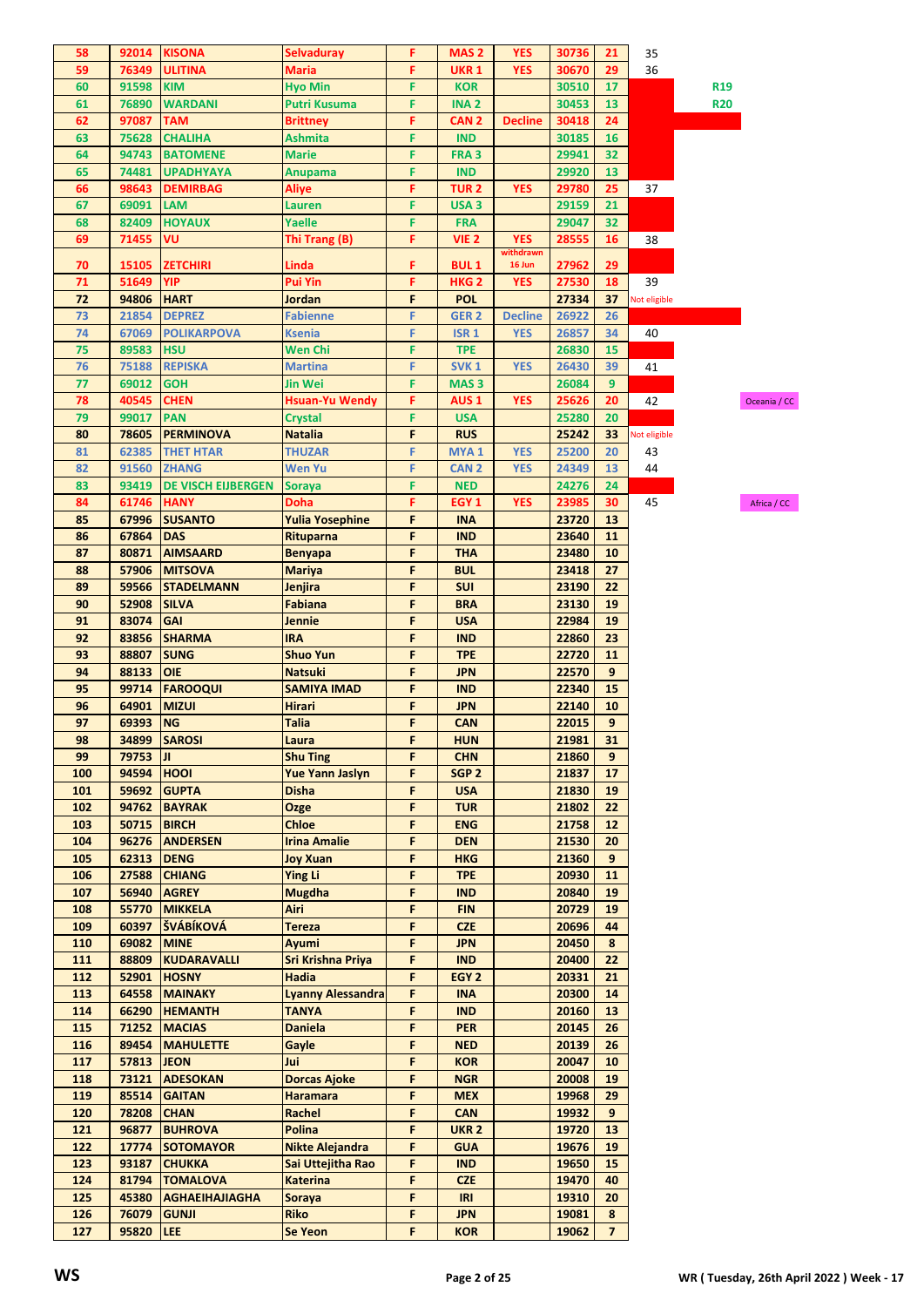| 58         |                |                               |                               |        |                                 |                |                |                     |              |                 |              |
|------------|----------------|-------------------------------|-------------------------------|--------|---------------------------------|----------------|----------------|---------------------|--------------|-----------------|--------------|
|            | 92014          | <b>KISONA</b>                 | Selvaduray                    | F      | MAS <sub>2</sub>                | <b>YES</b>     | 30736          | 21                  | 35           |                 |              |
| 59         | 76349          | <b>ULITINA</b>                | Maria                         | F      | <b>UKR 1</b>                    | <b>YES</b>     | 30670          | 29                  | 36           |                 |              |
| 60         | 91598          | <b>KIM</b>                    | <b>Hyo Min</b>                | F      | <b>KOR</b>                      |                | 30510          | 17                  |              | R <sub>19</sub> |              |
| 61         | 76890          | <b>WARDANI</b>                | Putri Kusuma                  | F      | <b>INA2</b>                     |                | 30453          | 13                  |              | <b>R20</b>      |              |
| 62         | 97087          | <b>TAM</b>                    | <b>Brittney</b>               | F      | CAN 2                           | <b>Decline</b> | 30418          | 24                  |              |                 |              |
| 63         | 75628          | <b>CHALIHA</b>                | Ashmita                       | F      | <b>IND</b>                      |                | 30185          | 16                  |              |                 |              |
| 64         | 94743          | <b>BATOMENE</b>               | <b>Marie</b>                  | F      | FRA <sub>3</sub>                |                | 29941          | 32                  |              |                 |              |
| 65         | 74481          | <b>UPADHYAYA</b>              | <b>Anupama</b>                | F      | <b>IND</b>                      |                | 29920          | 13                  |              |                 |              |
| 66         | 98643          | <b>DEMIRBAG</b>               | Aliye                         | F      | <b>TUR2</b>                     | <b>YES</b>     | 29780          | 25                  | 37           |                 |              |
| 67         | 69091          | <b>LAM</b>                    | Lauren                        | F      | USA <sub>3</sub>                |                | 29159          | 21                  |              |                 |              |
| 68         | 82409          | <b>HOYAUX</b>                 | Yaelle                        | F      | <b>FRA</b>                      |                | 29047          | 32                  |              |                 |              |
| 69         | 71455          | VU                            | Thi Trang (B)                 | F      | VIE <sub>2</sub>                | <b>YES</b>     | 28555          | 16                  | 38           |                 |              |
|            |                |                               |                               |        |                                 | withdrawn      |                |                     |              |                 |              |
| 70         | 15105          | <b>ZETCHIRI</b><br><b>YIP</b> | Linda                         | F      | <b>BUL1</b><br>HKG <sub>2</sub> | 16 Jun         | 27962          | 29                  | 39           |                 |              |
| 71<br>72   | 51649<br>94806 | <b>HART</b>                   | Pui Yin<br>Jordan             | F<br>F | <b>POL</b>                      | <b>YES</b>     | 27530          | 18<br>37            |              |                 |              |
| 73         | 21854          | <b>DEPREZ</b>                 | <b>Fabienne</b>               | F      | GER <sub>2</sub>                | <b>Decline</b> | 27334<br>26922 | 26                  | Not eligible |                 |              |
| 74         | 67069          | <b>POLIKARPOVA</b>            | Ksenia                        | F      | <b>ISR 1</b>                    | <b>YES</b>     | 26857          | 34                  | 40           |                 |              |
| 75         | 89583          | <b>HSU</b>                    | <b>Wen Chi</b>                | F      | <b>TPE</b>                      |                | 26830          | 15                  |              |                 |              |
| 76         | 75188          | <b>REPISKA</b>                | <b>Martina</b>                | F      | SVK <sub>1</sub>                | <b>YES</b>     | 26430          | 39                  | 41           |                 |              |
| 77         | 69012          | <b>GOH</b>                    | Jin Wei                       | F      | MAS <sub>3</sub>                |                | 26084          | 9                   |              |                 |              |
| 78         | 40545          | <b>CHEN</b>                   | Hsuan-Yu Wendy                | F      | AUS <sub>1</sub>                | <b>YES</b>     |                | 20                  | 42           |                 |              |
| 79         | 99017          | <b>PAN</b>                    |                               | F      | <b>USA</b>                      |                | 25626<br>25280 | 20                  |              |                 | Oceania / CC |
| 80         | 78605          | <b>PERMINOVA</b>              | Crystal<br><b>Natalia</b>     | F      | <b>RUS</b>                      |                |                | 33                  |              |                 |              |
|            | 62385          |                               | <b>THUZAR</b>                 | F      | MYA <sub>1</sub>                | <b>YES</b>     | 25242<br>25200 | 20                  | Not eligible |                 |              |
| 81         |                | <b>THET HTAR</b>              |                               |        |                                 |                |                |                     | 43           |                 |              |
| 82         | 91560          | <b>ZHANG</b>                  | <b>Wen Yu</b>                 | F      | <b>CAN2</b>                     | <b>YES</b>     | 24349          | 13                  | 44           |                 |              |
| 83         | 93419          | <b>DE VISCH EIJBERGEN</b>     | Soraya                        | F      | <b>NED</b>                      |                | 24276          | 24                  |              |                 |              |
| 84         | 61746          | <b>HANY</b>                   | Doha                          | F      | EGY <sub>1</sub>                | <b>YES</b>     | 23985          | 30                  | 45           |                 | Africa / CC  |
| 85         | 67996          | <b>SUSANTO</b>                | <b>Yulia Yosephine</b>        | F      | <b>INA</b>                      |                | 23720          | 13                  |              |                 |              |
| 86         | 67864          | <b>DAS</b>                    | Rituparna                     | F      | <b>IND</b>                      |                | 23640          | 11                  |              |                 |              |
| 87         | 80871          | <b>AIMSAARD</b>               | <b>Benyapa</b>                | F      | <b>THA</b>                      |                | 23480          | 10                  |              |                 |              |
| 88         | 57906          | <b>MITSOVA</b>                | Mariya                        | F      | <b>BUL</b>                      |                | 23418          | 27                  |              |                 |              |
| 89         | 59566          | <b>STADELMANN</b>             | Jenjira                       | F      | <b>SUI</b>                      |                | 23190          | 22                  |              |                 |              |
| 90         | 52908          | <b>SILVA</b>                  | Fabiana                       | F      | <b>BRA</b>                      |                | 23130          | 19                  |              |                 |              |
| 91         | 83074          | <b>GAI</b>                    | Jennie                        | F      | <b>USA</b>                      |                | 22984          | 19                  |              |                 |              |
| 92         | 83856          | <b>SHARMA</b>                 | IRA                           | F      | <b>IND</b>                      |                | 22860          | 23                  |              |                 |              |
| 93         | 88807          | <b>SUNG</b>                   | <b>Shuo Yun</b>               | F      | <b>TPE</b>                      |                | 22720          | 11                  |              |                 |              |
| 94         | 88133          | <b>OIE</b>                    | <b>Natsuki</b>                | F      | <b>JPN</b>                      |                | 22570          | 9                   |              |                 |              |
| 95         | 99714          | <b>FAROOQUI</b>               | <b>SAMIYA IMAD</b>            | F      | <b>IND</b>                      |                | 22340          | 15                  |              |                 |              |
| 96         | 64901          | <b>MIZUI</b>                  | Hirari                        | F      | <b>JPN</b>                      |                | 22140          | 10                  |              |                 |              |
| 97         | 69393          |                               | <b>Talia</b>                  | F      | <b>CAN</b>                      |                | 22015          | 9                   |              |                 |              |
| 98         |                | <b>NG</b>                     |                               |        |                                 |                |                |                     |              |                 |              |
|            |                | 34899 SAROSI                  | Laura                         | F      | <b>HUN</b>                      |                | 21981          | 31                  |              |                 |              |
| 99         | 79753          | ЛL                            | <b>Shu Ting</b>               | F      | <b>CHN</b>                      |                | 21860          | 9                   |              |                 |              |
| 100        | 94594 HOOI     |                               | <b>Yue Yann Jaslyn</b>        | F      | SGP <sub>2</sub>                |                | 21837          | 17                  |              |                 |              |
| 101        | 59692          | <b>GUPTA</b>                  | Disha                         | F      | <b>USA</b>                      |                | 21830          | 19                  |              |                 |              |
| 102        |                | 94762 BAYRAK                  | Ozge                          | F      | <b>TUR</b>                      |                | 21802          | 22                  |              |                 |              |
| 103        | 50715          | <b>BIRCH</b>                  | <b>Chloe</b>                  | F      | <b>ENG</b>                      |                | 21758          | 12                  |              |                 |              |
| 104        | 96276          | <b>ANDERSEN</b>               | <b>Irina Amalie</b>           | F      | <b>DEN</b>                      |                | 21530          | 20                  |              |                 |              |
| 105        | 62313          | <b>DENG</b>                   | <b>Joy Xuan</b>               | F      | <b>HKG</b>                      |                | 21360          | 9                   |              |                 |              |
| 106        | 27588          | <b>CHIANG</b>                 | <b>Ying Li</b>                | F      | <b>TPE</b>                      |                | 20930          | 11                  |              |                 |              |
| 107        |                | 56940 AGREY                   | <b>Mugdha</b>                 | F      | <b>IND</b>                      |                | 20840          | 19                  |              |                 |              |
| 108        | 55770          | <b>MIKKELA</b>                | Airi                          | F      | <b>FIN</b>                      |                | 20729          | 19                  |              |                 |              |
| 109        | 60397          | ŠVÁBÍKOVÁ                     | <b>Tereza</b>                 | F      | <b>CZE</b>                      |                | 20696          | 44                  |              |                 |              |
| 110        | 69082          | <b>MINE</b>                   | Ayumi                         | F      | <b>JPN</b>                      |                | 20450          | 8                   |              |                 |              |
| 111        | 88809          | <b>KUDARAVALLI</b>            | Sri Krishna Priya             | F      | <b>IND</b>                      |                | 20400          | 22                  |              |                 |              |
| 112        | 52901          | <b>HOSNY</b>                  | Hadia                         | F      | EGY <sub>2</sub>                |                | 20331          | 21                  |              |                 |              |
| 113        | 64558          | <b>MAINAKY</b>                | <b>Lyanny Alessandra</b>      | F      | <b>INA</b>                      |                | 20300          | 14                  |              |                 |              |
| 114        | 66290          | <b>HEMANTH</b>                | <b>TANYA</b>                  | F      | <b>IND</b>                      |                | 20160          | 13                  |              |                 |              |
| 115        | 71252          | <b>MACIAS</b>                 | <b>Daniela</b>                | F      | <b>PER</b>                      |                | 20145          | 26                  |              |                 |              |
| 116        | 89454          | <b>MAHULETTE</b>              | Gayle                         | F      | <b>NED</b>                      |                | 20139          | 26                  |              |                 |              |
| 117        | 57813 JEON     |                               | Jui                           | F      | <b>KOR</b>                      |                | 20047          | 10                  |              |                 |              |
| 118        | 73121          | <b>ADESOKAN</b>               | <b>Dorcas Ajoke</b>           | F      | <b>NGR</b>                      |                | 20008          | 19                  |              |                 |              |
| 119        | 85514          | <b>GAITAN</b>                 | <b>Haramara</b>               | F      | <b>MEX</b>                      |                | 19968          | 29                  |              |                 |              |
| 120        | 78208          | <b>CHAN</b>                   | Rachel                        | F      | <b>CAN</b>                      |                | 19932          | 9                   |              |                 |              |
| 121        | 96877          | <b>BUHROVA</b>                | Polina                        | F      | <b>UKR 2</b>                    |                | 19720          | 13                  |              |                 |              |
| 122        | 17774          | <b>SOTOMAYOR</b>              | Nikte Alejandra               | F      | <b>GUA</b>                      |                | 19676          | 19                  |              |                 |              |
| 123        | 93187          | <b>CHUKKA</b>                 | Sai Uttejitha Rao             | F      | <b>IND</b>                      |                | 19650          | 15                  |              |                 |              |
| 124        |                | 81794   TOMALOVA              | <b>Katerina</b>               | F      | <b>CZE</b>                      |                | 19470          | 40                  |              |                 |              |
| 125        | 45380          | <b>AGHAEIHAJIAGHA</b>         | Soraya                        | F      | IRI                             |                | 19310          | 20                  |              |                 |              |
| 126<br>127 | 76079<br>95820 | <b>GUNJI</b><br><b>LEE</b>    | <b>Riko</b><br><b>Se Yeon</b> | F<br>F | <b>JPN</b><br><b>KOR</b>        |                | 19081<br>19062 | 8<br>$\overline{7}$ |              |                 |              |